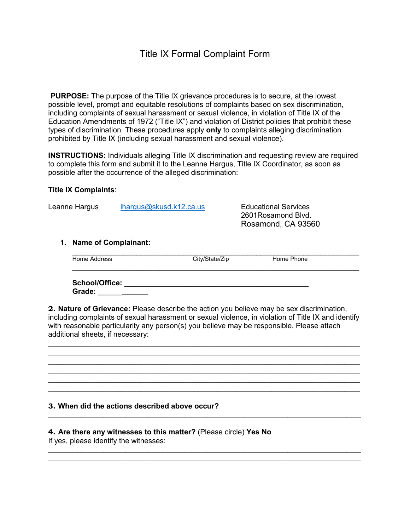**PURPOSE:** The purpose of the Title IX grievance procedures is to secure, at the lowest possible level, prompt and equitable resolutions of complaints based on sex discrimination, including complaints of sexual harassment or sexual violence, in violation of Title IX of the Education Amendments of 1972 ("Title IX") and violation of District policies that prohibit these types of discrimination. These procedures apply **only** to complaints alleging discrimination prohibited by Title IX (including sexual harassment and sexual violence).

**INSTRUCTIONS:** Individuals alleging Title IX discrimination and requesting review are required to complete this form and submit it to the Leanne Hargus, Title IX Coordinator, as soon as possible after the occurrence of the alleged discrimination:

## **Title IX Complaints**:

Leanne Hargus [lhargus@skusd.k12.ca.us](mailto:lhargus@skusd.k12.ca.us) Educational Services

2601Rosamond Blvd. Rosamond, CA 93560

## **1. Name of Complainant:**

| Home Address | City/State/Zip | Home Phone |  |
|--------------|----------------|------------|--|
|              |                |            |  |

**School/Office:** \_\_\_\_\_\_\_\_\_\_\_\_\_\_\_\_\_\_\_\_\_\_\_\_\_\_\_\_\_\_\_\_\_\_\_\_\_\_\_\_\_\_\_\_\_ **Grade**: \_\_\_\_\_\_\_\_\_\_\_\_\_

**2. Nature of Grievance:** Please describe the action you believe may be sex discrimination, including complaints of sexual harassment or sexual violence, in violation of Title IX and identify with reasonable particularity any person(s) you believe may be responsible. Please attach additional sheets, if necessary:

\_\_\_\_\_\_\_\_\_\_\_\_\_\_\_\_\_\_\_\_\_\_\_\_\_\_\_\_\_\_\_\_\_\_\_\_\_\_\_\_\_\_\_\_\_\_\_\_\_\_\_\_\_\_\_\_\_\_\_\_\_\_\_\_\_\_\_\_\_\_\_\_\_\_\_\_\_\_\_\_\_ \_\_\_\_\_\_\_\_\_\_\_\_\_\_\_\_\_\_\_\_\_\_\_\_\_\_\_\_\_\_\_\_\_\_\_\_\_\_\_\_\_\_\_\_\_\_\_\_\_\_\_\_\_\_\_\_\_\_\_\_\_\_\_\_\_\_\_\_\_\_\_\_\_\_\_\_\_\_\_\_\_ \_\_\_\_\_\_\_\_\_\_\_\_\_\_\_\_\_\_\_\_\_\_\_\_\_\_\_\_\_\_\_\_\_\_\_\_\_\_\_\_\_\_\_\_\_\_\_\_\_\_\_\_\_\_\_\_\_\_\_\_\_\_\_\_\_\_\_\_\_\_\_\_\_\_\_\_\_\_\_\_\_ \_\_\_\_\_\_\_\_\_\_\_\_\_\_\_\_\_\_\_\_\_\_\_\_\_\_\_\_\_\_\_\_\_\_\_\_\_\_\_\_\_\_\_\_\_\_\_\_\_\_\_\_\_\_\_\_\_\_\_\_\_\_\_\_\_\_\_\_\_\_\_\_\_\_\_\_\_\_\_\_\_ \_\_\_\_\_\_\_\_\_\_\_\_\_\_\_\_\_\_\_\_\_\_\_\_\_\_\_\_\_\_\_\_\_\_\_\_\_\_\_\_\_\_\_\_\_\_\_\_\_\_\_\_\_\_\_\_\_\_\_\_\_\_\_\_\_\_\_\_\_\_\_\_\_\_\_\_\_\_\_\_\_ \_\_\_\_\_\_\_\_\_\_\_\_\_\_\_\_\_\_\_\_\_\_\_\_\_\_\_\_\_\_\_\_\_\_\_\_\_\_\_\_\_\_\_\_\_\_\_\_\_\_\_\_\_\_\_\_\_\_\_\_\_\_\_\_\_\_\_\_\_\_\_\_\_\_\_\_\_\_\_\_\_

\_\_\_\_\_\_\_\_\_\_\_\_\_\_\_\_\_\_\_\_\_\_\_\_\_\_\_\_\_\_\_\_\_\_\_\_\_\_\_\_\_\_\_\_\_\_\_\_\_\_\_\_\_\_\_\_\_\_\_\_\_\_\_\_\_\_\_\_\_\_\_\_\_\_\_\_\_\_\_\_\_\_\_\_\_

\_\_\_\_\_\_\_\_\_\_\_\_\_\_\_\_\_\_\_\_\_\_\_\_\_\_\_\_\_\_\_\_\_\_\_\_\_\_\_\_\_\_\_\_\_\_\_\_\_\_\_\_\_\_\_\_\_\_\_\_\_\_\_\_\_\_\_\_\_\_\_\_\_\_\_\_\_\_\_\_\_\_\_\_\_ \_\_\_\_\_\_\_\_\_\_\_\_\_\_\_\_\_\_\_\_\_\_\_\_\_\_\_\_\_\_\_\_\_\_\_\_\_\_\_\_\_\_\_\_\_\_\_\_\_\_\_\_\_\_\_\_\_\_\_\_\_\_\_\_\_\_\_\_\_\_\_\_\_\_\_\_\_\_\_\_\_\_\_\_\_

## **3. When did the actions described above occur?**

## **4. Are there any witnesses to this matter?** (Please circle) **Yes No**

If yes, please identify the witnesses: